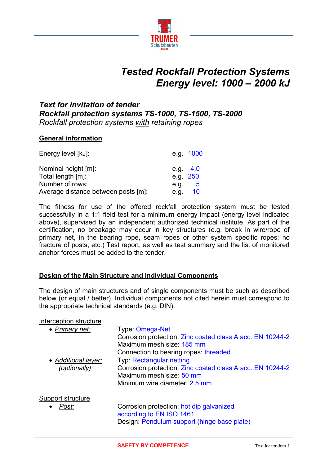

# *Tested Rockfall Protection Systems Energy level: 1000 – 2000 kJ*

# *Text for invitation of tender Rockfall protection systems TS-1000, TS-1500, TS-2000 Rockfall protection systems with retaining ropes*

#### **General information**

| Energy level [kJ]:                  | e.g. 1000  |
|-------------------------------------|------------|
| Nominal height [m]:                 | e.g. $4.0$ |
| Total length [m]:                   | e.g. 250   |
| Number of rows:                     | 5<br>e.g.  |
| Average distance between posts [m]: | 10<br>e.q. |

The fitness for use of the offered rockfall protection system must be tested successfully in a 1:1 field test for a minimum energy impact (energy level indicated above), supervised by an independent authorized technical institute. As part of the certification, no breakage may occur in key structures (e.g. break in wire/rope of primary net, in the bearing rope, seam ropes or other system specific ropes; no fracture of posts, etc.) Test report, as well as test summary and the list of monitored anchor forces must be added to the tender.

#### **Design of the Main Structure and Individual Components**

The design of main structures and of single components must be such as described below (or equal / better). Individual components not cited herein must correspond to the appropriate technical standards (e.g. DIN).

#### Interception structure

| • Primary net:      | Type: Omega-Net<br>Corrosion protection: Zinc coated class A acc. EN 10244-2<br>Maximum mesh size: 185 mm |
|---------------------|-----------------------------------------------------------------------------------------------------------|
|                     | Connection to bearing ropes: threaded                                                                     |
| • Additional layer: | <b>Typ: Rectangular netting</b>                                                                           |
| (optionally)        | Corrosion protection: Zinc coated class A acc. EN 10244-2                                                 |
|                     | Maximum mesh size: 50 mm                                                                                  |
|                     | Minimum wire diameter: 2.5 mm                                                                             |
| Support structure   |                                                                                                           |
| Post:               | Corrosion protection: hot dip galvanized                                                                  |
|                     | according to EN ISO 1461                                                                                  |
|                     | Design: Pendulum support (hinge base plate)                                                               |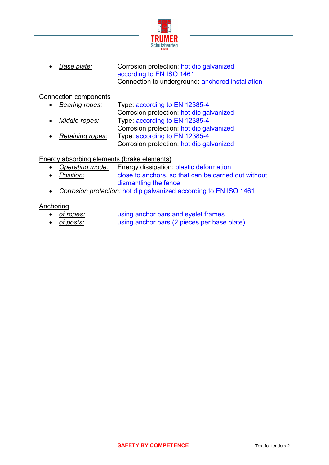

**Base plate:** Corrosion protection: hot dip galvanized according to EN ISO 1461 Connection to underground: anchored installation

#### Connection components

- *Bearing ropes:* Type: according to EN 12385-4 Corrosion protection: hot dip galvanized *Middle ropes:* Type: according to EN 12385-4 Corrosion protection: hot dip galvanized
- *Retaining ropes:* Type: according to EN 12385-4 Corrosion protection: hot dip galvanized

### Energy absorbing elements (brake elements)

- *Operating mode:* Energy dissipation: plastic deformation
- *Position:* close to anchors, so that can be carried out without dismantling the fence
- *Corrosion protection:* hot dip galvanized according to EN ISO 1461

#### Anchoring

- *of ropes:* using anchor bars and eyelet frames
- *of posts:* using anchor bars (2 pieces per base plate)